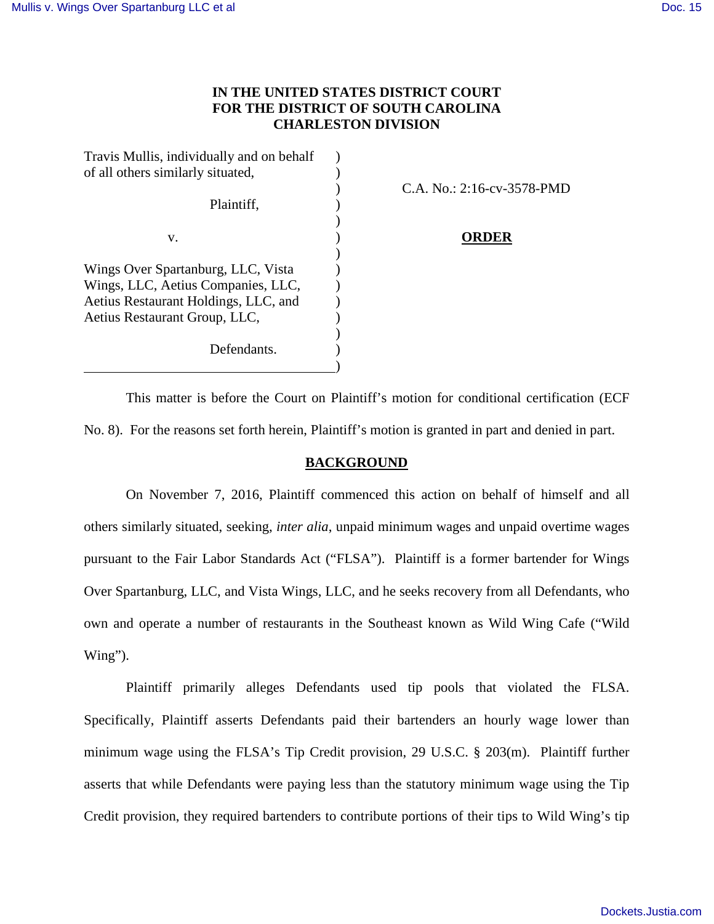# **IN THE UNITED STATES DISTRICT COURT FOR THE DISTRICT OF SOUTH CAROLINA CHARLESTON DIVISION**

| Travis Mullis, individually and on behalf |  |
|-------------------------------------------|--|
| of all others similarly situated,         |  |
|                                           |  |
| Plaintiff,                                |  |
|                                           |  |
| v.                                        |  |
|                                           |  |
| Wings Over Spartanburg, LLC, Vista        |  |
| Wings, LLC, Aetius Companies, LLC,        |  |
| Aetius Restaurant Holdings, LLC, and      |  |
| Aetius Restaurant Group, LLC,             |  |
|                                           |  |
| Defendants.                               |  |
|                                           |  |

) C.A. No.: 2:16-cv-3578-PMD

## **ORDER**

This matter is before the Court on Plaintiff's motion for conditional certification (ECF No. 8). For the reasons set forth herein, Plaintiff's motion is granted in part and denied in part.

## **BACKGROUND**

On November 7, 2016, Plaintiff commenced this action on behalf of himself and all others similarly situated, seeking, *inter alia*, unpaid minimum wages and unpaid overtime wages pursuant to the Fair Labor Standards Act ("FLSA"). Plaintiff is a former bartender for Wings Over Spartanburg, LLC, and Vista Wings, LLC, and he seeks recovery from all Defendants, who own and operate a number of restaurants in the Southeast known as Wild Wing Cafe ("Wild Wing").

Plaintiff primarily alleges Defendants used tip pools that violated the FLSA. Specifically, Plaintiff asserts Defendants paid their bartenders an hourly wage lower than minimum wage using the FLSA's Tip Credit provision, 29 U.S.C. § 203(m). Plaintiff further asserts that while Defendants were paying less than the statutory minimum wage using the Tip Credit provision, they required bartenders to contribute portions of their tips to Wild Wing's tip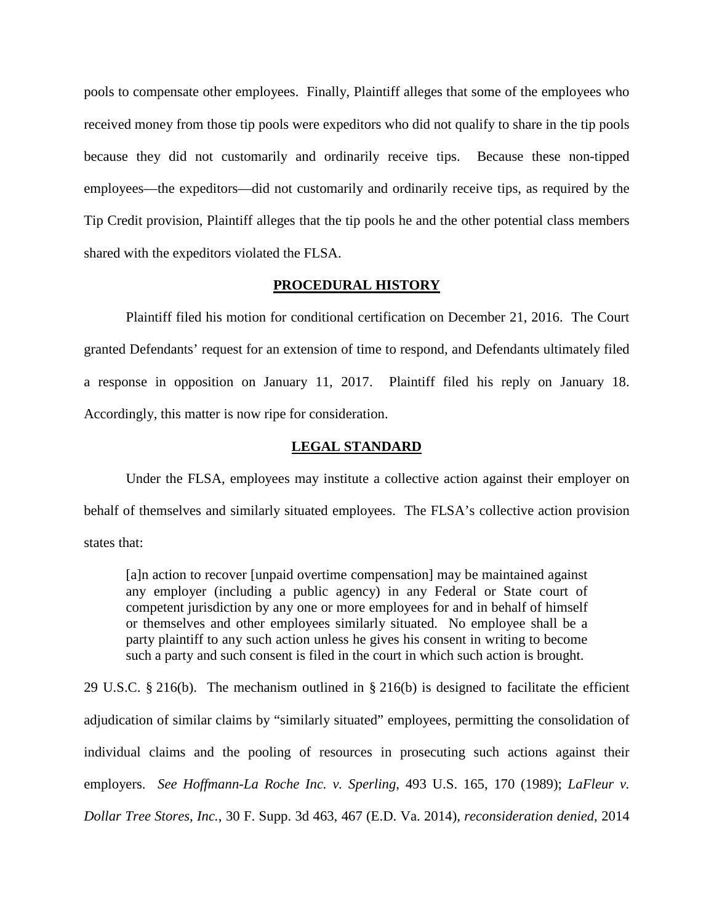pools to compensate other employees. Finally, Plaintiff alleges that some of the employees who received money from those tip pools were expeditors who did not qualify to share in the tip pools because they did not customarily and ordinarily receive tips. Because these non-tipped employees—the expeditors—did not customarily and ordinarily receive tips, as required by the Tip Credit provision, Plaintiff alleges that the tip pools he and the other potential class members shared with the expeditors violated the FLSA.

### **PROCEDURAL HISTORY**

Plaintiff filed his motion for conditional certification on December 21, 2016. The Court granted Defendants' request for an extension of time to respond, and Defendants ultimately filed a response in opposition on January 11, 2017. Plaintiff filed his reply on January 18. Accordingly, this matter is now ripe for consideration.

#### **LEGAL STANDARD**

 Under the FLSA, employees may institute a collective action against their employer on behalf of themselves and similarly situated employees. The FLSA's collective action provision states that:

[a]n action to recover [unpaid overtime compensation] may be maintained against any employer (including a public agency) in any Federal or State court of competent jurisdiction by any one or more employees for and in behalf of himself or themselves and other employees similarly situated. No employee shall be a party plaintiff to any such action unless he gives his consent in writing to become such a party and such consent is filed in the court in which such action is brought.

29 U.S.C. § 216(b). The mechanism outlined in § 216(b) is designed to facilitate the efficient adjudication of similar claims by "similarly situated" employees, permitting the consolidation of individual claims and the pooling of resources in prosecuting such actions against their employers. *See Hoffmann-La Roche Inc. v. Sperling*, 493 U.S. 165, 170 (1989); *LaFleur v. Dollar Tree Stores, Inc.*, 30 F. Supp. 3d 463, 467 (E.D. Va. 2014), *reconsideration denied*, 2014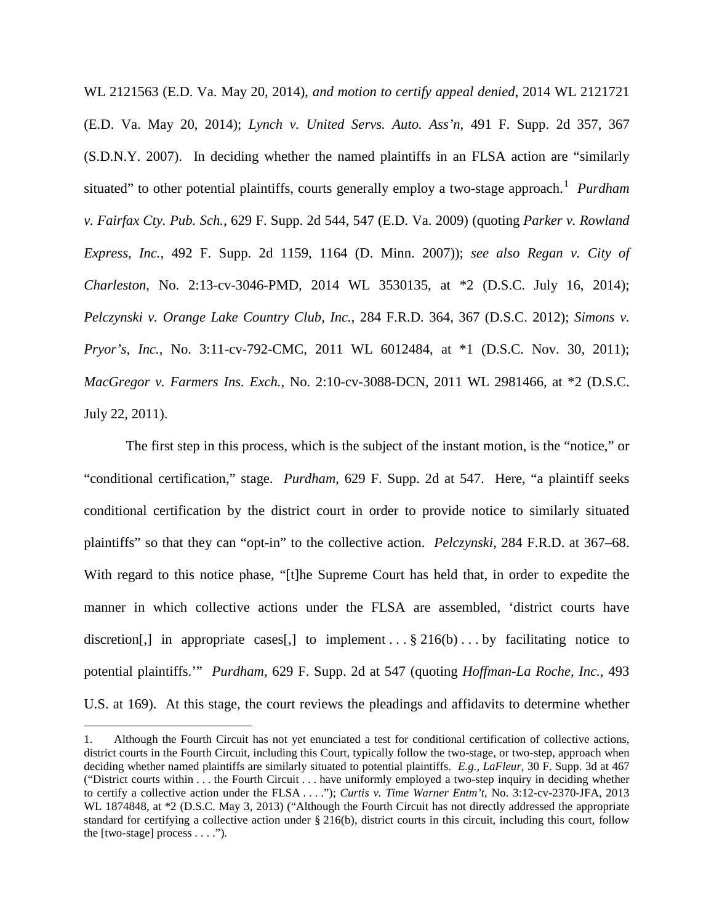WL 2121563 (E.D. Va. May 20, 2014), *and motion to certify appeal denied*, 2014 WL 2121721 (E.D. Va. May 20, 2014); *Lynch v. United Servs. Auto. Ass'n*, 491 F. Supp. 2d 357, 367 (S.D.N.Y. 2007). In deciding whether the named plaintiffs in an FLSA action are "similarly situated" to other potential plaintiffs, courts generally employ a two-stage approach.<sup>[1](#page-2-0)</sup> Purdham *v. Fairfax Cty. Pub. Sch.*, 629 F. Supp. 2d 544, 547 (E.D. Va. 2009) (quoting *Parker v. Rowland Express, Inc.*, 492 F. Supp. 2d 1159, 1164 (D. Minn. 2007)); *see also Regan v. City of Charleston*, No. 2:13-cv-3046-PMD, 2014 WL 3530135, at \*2 (D.S.C. July 16, 2014); *Pelczynski v. Orange Lake Country Club, Inc.*, 284 F.R.D. 364, 367 (D.S.C. 2012); *Simons v. Pryor's, Inc.*, No. 3:11-cv-792-CMC, 2011 WL 6012484, at \*1 (D.S.C. Nov. 30, 2011); *MacGregor v. Farmers Ins. Exch.*, No. 2:10-cv-3088-DCN, 2011 WL 2981466, at \*2 (D.S.C. July 22, 2011).

The first step in this process, which is the subject of the instant motion, is the "notice," or "conditional certification," stage. *Purdham*, 629 F. Supp. 2d at 547. Here, "a plaintiff seeks conditional certification by the district court in order to provide notice to similarly situated plaintiffs" so that they can "opt-in" to the collective action. *Pelczynski*, 284 F.R.D. at 367–68. With regard to this notice phase, "[t]he Supreme Court has held that, in order to expedite the manner in which collective actions under the FLSA are assembled, 'district courts have discretion[,] in appropriate cases[,] to implement . . . § 216(b) . . . by facilitating notice to potential plaintiffs.'" *Purdham*, 629 F. Supp. 2d at 547 (quoting *Hoffman-La Roche, Inc.*, 493 U.S. at 169). At this stage, the court reviews the pleadings and affidavits to determine whether

<u>.</u>

<span id="page-2-0"></span><sup>1.</sup> Although the Fourth Circuit has not yet enunciated a test for conditional certification of collective actions, district courts in the Fourth Circuit, including this Court, typically follow the two-stage, or two-step, approach when deciding whether named plaintiffs are similarly situated to potential plaintiffs. *E.g.*, *LaFleur*, 30 F. Supp. 3d at 467 ("District courts within . . . the Fourth Circuit . . . have uniformly employed a two-step inquiry in deciding whether to certify a collective action under the FLSA . . . ."); *Curtis v. Time Warner Entm't*, No. 3:12-cv-2370-JFA, 2013 WL 1874848, at  $*2$  (D.S.C. May 3, 2013) ("Although the Fourth Circuit has not directly addressed the appropriate standard for certifying a collective action under § 216(b), district courts in this circuit, including this court, follow the [two-stage] process . . . .").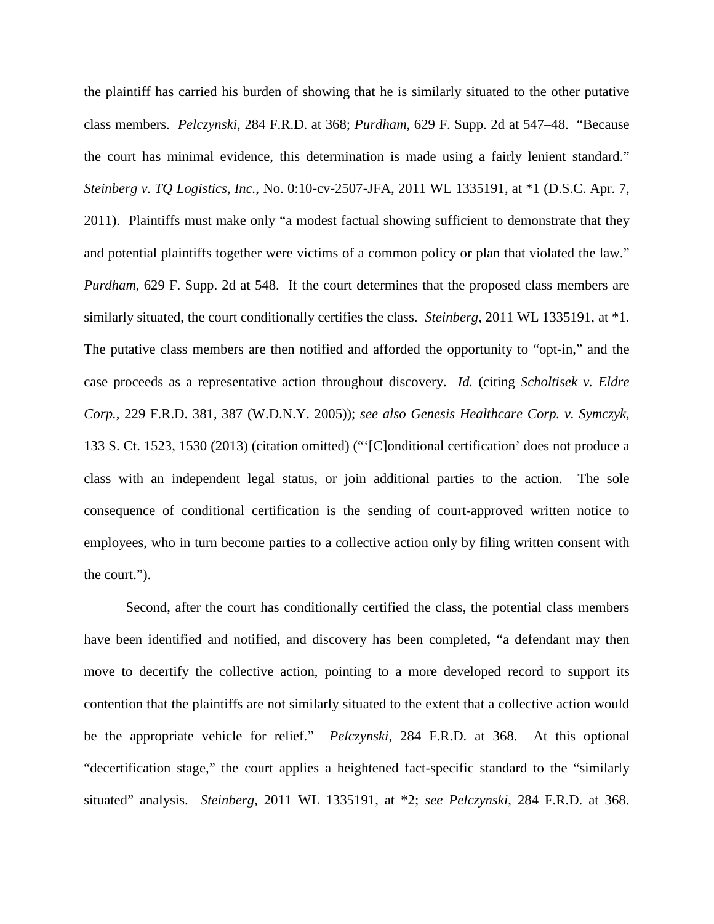the plaintiff has carried his burden of showing that he is similarly situated to the other putative class members. *Pelczynski*, 284 F.R.D. at 368; *Purdham*, 629 F. Supp. 2d at 547–48. "Because the court has minimal evidence, this determination is made using a fairly lenient standard." *Steinberg v. TQ Logistics, Inc.*, No. 0:10-cv-2507-JFA, 2011 WL 1335191, at \*1 (D.S.C. Apr. 7, 2011). Plaintiffs must make only "a modest factual showing sufficient to demonstrate that they and potential plaintiffs together were victims of a common policy or plan that violated the law." *Purdham*, 629 F. Supp. 2d at 548. If the court determines that the proposed class members are similarly situated, the court conditionally certifies the class. *Steinberg*, 2011 WL 1335191, at \*1. The putative class members are then notified and afforded the opportunity to "opt-in," and the case proceeds as a representative action throughout discovery. *Id.* (citing *Scholtisek v. Eldre Corp.*, 229 F.R.D. 381, 387 (W.D.N.Y. 2005)); *see also Genesis Healthcare Corp. v. Symczyk*, 133 S. Ct. 1523, 1530 (2013) (citation omitted) ("'[C]onditional certification' does not produce a class with an independent legal status, or join additional parties to the action. The sole consequence of conditional certification is the sending of court-approved written notice to employees, who in turn become parties to a collective action only by filing written consent with the court.").

Second, after the court has conditionally certified the class, the potential class members have been identified and notified, and discovery has been completed, "a defendant may then move to decertify the collective action, pointing to a more developed record to support its contention that the plaintiffs are not similarly situated to the extent that a collective action would be the appropriate vehicle for relief." *Pelczynski*, 284 F.R.D. at 368. At this optional "decertification stage," the court applies a heightened fact-specific standard to the "similarly situated" analysis. *Steinberg*, 2011 WL 1335191, at \*2; *see Pelczynski*, 284 F.R.D. at 368.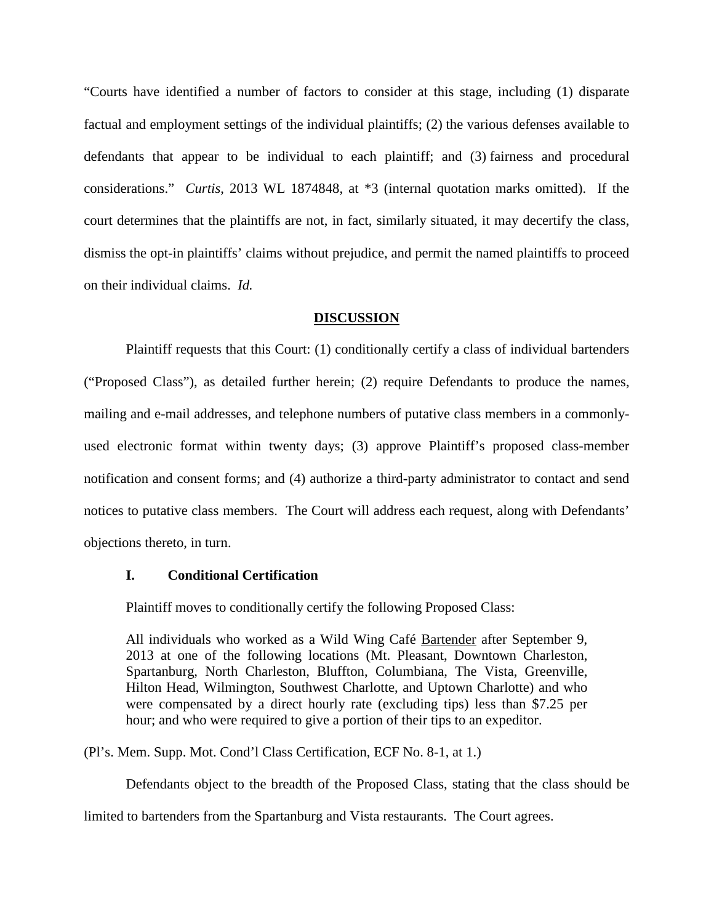"Courts have identified a number of factors to consider at this stage, including (1) disparate factual and employment settings of the individual plaintiffs; (2) the various defenses available to defendants that appear to be individual to each plaintiff; and (3) fairness and procedural considerations." *Curtis*, 2013 WL 1874848, at \*3 (internal quotation marks omitted). If the court determines that the plaintiffs are not, in fact, similarly situated, it may decertify the class, dismiss the opt-in plaintiffs' claims without prejudice, and permit the named plaintiffs to proceed on their individual claims. *Id.*

## **DISCUSSION**

Plaintiff requests that this Court: (1) conditionally certify a class of individual bartenders ("Proposed Class"), as detailed further herein; (2) require Defendants to produce the names, mailing and e-mail addresses, and telephone numbers of putative class members in a commonlyused electronic format within twenty days; (3) approve Plaintiff's proposed class-member notification and consent forms; and (4) authorize a third-party administrator to contact and send notices to putative class members. The Court will address each request, along with Defendants' objections thereto, in turn.

#### **I. Conditional Certification**

Plaintiff moves to conditionally certify the following Proposed Class:

All individuals who worked as a Wild Wing Café Bartender after September 9, 2013 at one of the following locations (Mt. Pleasant, Downtown Charleston, Spartanburg, North Charleston, Bluffton, Columbiana, The Vista, Greenville, Hilton Head, Wilmington, Southwest Charlotte, and Uptown Charlotte) and who were compensated by a direct hourly rate (excluding tips) less than \$7.25 per hour; and who were required to give a portion of their tips to an expeditor.

(Pl's. Mem. Supp. Mot. Cond'l Class Certification, ECF No. 8-1, at 1.)

Defendants object to the breadth of the Proposed Class, stating that the class should be

limited to bartenders from the Spartanburg and Vista restaurants. The Court agrees.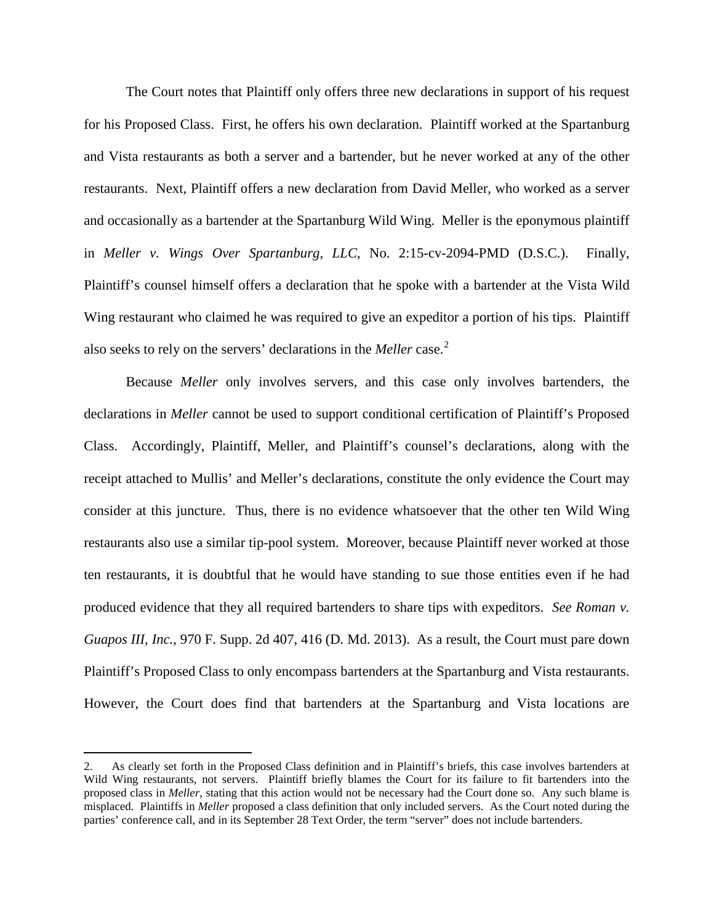The Court notes that Plaintiff only offers three new declarations in support of his request for his Proposed Class. First, he offers his own declaration. Plaintiff worked at the Spartanburg and Vista restaurants as both a server and a bartender, but he never worked at any of the other restaurants. Next, Plaintiff offers a new declaration from David Meller, who worked as a server and occasionally as a bartender at the Spartanburg Wild Wing. Meller is the eponymous plaintiff in *Meller v. Wings Over Spartanburg, LLC*, No. 2:15-cv-2094-PMD (D.S.C.). Finally, Plaintiff's counsel himself offers a declaration that he spoke with a bartender at the Vista Wild Wing restaurant who claimed he was required to give an expeditor a portion of his tips. Plaintiff also seeks to rely on the servers' declarations in the *Meller* case.[2](#page-5-0)

Because *Meller* only involves servers, and this case only involves bartenders, the declarations in *Meller* cannot be used to support conditional certification of Plaintiff's Proposed Class. Accordingly, Plaintiff, Meller, and Plaintiff's counsel's declarations, along with the receipt attached to Mullis' and Meller's declarations, constitute the only evidence the Court may consider at this juncture. Thus, there is no evidence whatsoever that the other ten Wild Wing restaurants also use a similar tip-pool system. Moreover, because Plaintiff never worked at those ten restaurants, it is doubtful that he would have standing to sue those entities even if he had produced evidence that they all required bartenders to share tips with expeditors. *See Roman v. Guapos III, Inc.*, 970 F. Supp. 2d 407, 416 (D. Md. 2013). As a result, the Court must pare down Plaintiff's Proposed Class to only encompass bartenders at the Spartanburg and Vista restaurants. However, the Court does find that bartenders at the Spartanburg and Vista locations are

-

<span id="page-5-0"></span><sup>2.</sup> As clearly set forth in the Proposed Class definition and in Plaintiff's briefs, this case involves bartenders at Wild Wing restaurants, not servers. Plaintiff briefly blames the Court for its failure to fit bartenders into the proposed class in *Meller*, stating that this action would not be necessary had the Court done so. Any such blame is misplaced. Plaintiffs in *Meller* proposed a class definition that only included servers. As the Court noted during the parties' conference call, and in its September 28 Text Order, the term "server" does not include bartenders.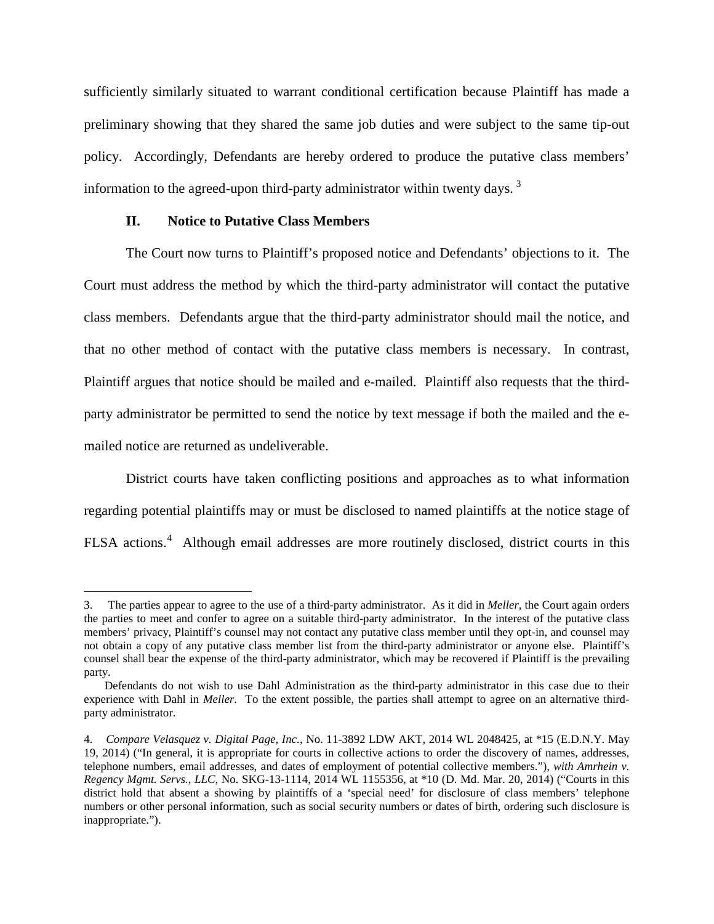sufficiently similarly situated to warrant conditional certification because Plaintiff has made a preliminary showing that they shared the same job duties and were subject to the same tip-out policy. Accordingly, Defendants are hereby ordered to produce the putative class members' information to the agreed-upon third-party administrator within twenty days.<sup>[3](#page-6-0)</sup>

## **II. Notice to Putative Class Members**

 $\overline{a}$ 

The Court now turns to Plaintiff's proposed notice and Defendants' objections to it. The Court must address the method by which the third-party administrator will contact the putative class members. Defendants argue that the third-party administrator should mail the notice, and that no other method of contact with the putative class members is necessary. In contrast, Plaintiff argues that notice should be mailed and e-mailed. Plaintiff also requests that the thirdparty administrator be permitted to send the notice by text message if both the mailed and the emailed notice are returned as undeliverable.

District courts have taken conflicting positions and approaches as to what information regarding potential plaintiffs may or must be disclosed to named plaintiffs at the notice stage of FLSA actions.<sup>[4](#page-6-1)</sup> Although email addresses are more routinely disclosed, district courts in this

<span id="page-6-0"></span><sup>3.</sup> The parties appear to agree to the use of a third-party administrator. As it did in *Meller*, the Court again orders the parties to meet and confer to agree on a suitable third-party administrator. In the interest of the putative class members' privacy, Plaintiff's counsel may not contact any putative class member until they opt-in, and counsel may not obtain a copy of any putative class member list from the third-party administrator or anyone else. Plaintiff's counsel shall bear the expense of the third-party administrator, which may be recovered if Plaintiff is the prevailing party.

Defendants do not wish to use Dahl Administration as the third-party administrator in this case due to their experience with Dahl in *Meller*. To the extent possible, the parties shall attempt to agree on an alternative thirdparty administrator.

<span id="page-6-1"></span><sup>4.</sup> *Compare Velasquez v. Digital Page, Inc.*, No. 11-3892 LDW AKT, 2014 WL 2048425, at \*15 (E.D.N.Y. May 19, 2014) ("In general, it is appropriate for courts in collective actions to order the discovery of names, addresses, telephone numbers, email addresses, and dates of employment of potential collective members."), *with Amrhein v. Regency Mgmt. Servs., LLC*, No. SKG-13-1114, 2014 WL 1155356, at \*10 (D. Md. Mar. 20, 2014) ("Courts in this district hold that absent a showing by plaintiffs of a 'special need' for disclosure of class members' telephone numbers or other personal information, such as social security numbers or dates of birth, ordering such disclosure is inappropriate.").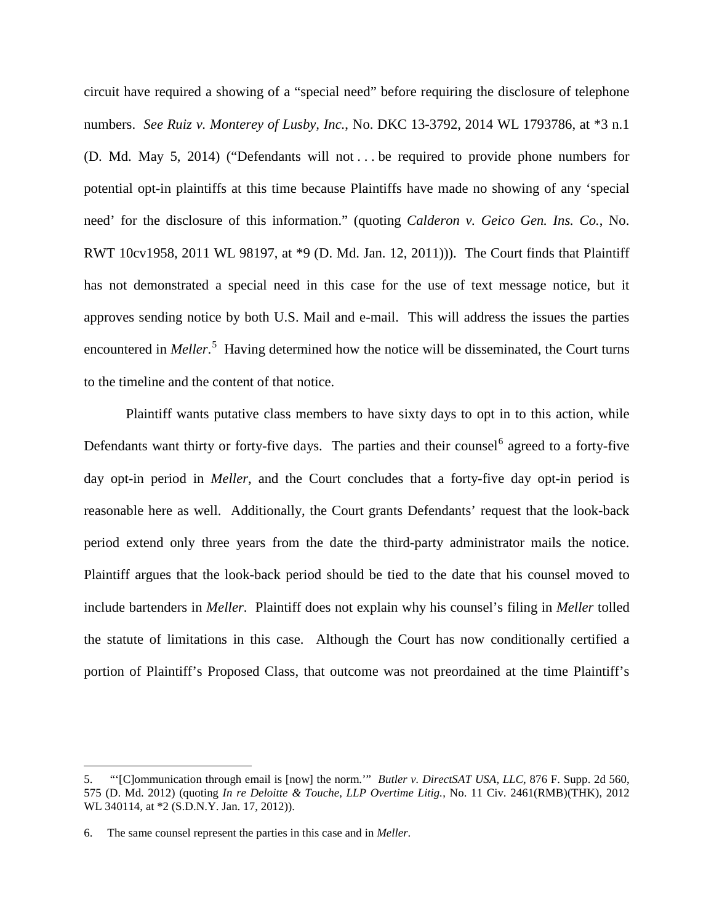circuit have required a showing of a "special need" before requiring the disclosure of telephone numbers. *See Ruiz v. Monterey of Lusby, Inc.*, No. DKC 13-3792, 2014 WL 1793786, at \*3 n.1 (D. Md. May 5, 2014) ("Defendants will not . . . be required to provide phone numbers for potential opt-in plaintiffs at this time because Plaintiffs have made no showing of any 'special need' for the disclosure of this information." (quoting *Calderon v. Geico Gen. Ins. Co.*, No. RWT 10cv1958, 2011 WL 98197, at \*9 (D. Md. Jan. 12, 2011))). The Court finds that Plaintiff has not demonstrated a special need in this case for the use of text message notice, but it approves sending notice by both U.S. Mail and e-mail. This will address the issues the parties encountered in *Meller*.<sup>[5](#page-7-0)</sup> Having determined how the notice will be disseminated, the Court turns to the timeline and the content of that notice.

Plaintiff wants putative class members to have sixty days to opt in to this action, while Defendants want thirty or forty-five days. The parties and their counsel<sup>[6](#page-7-1)</sup> agreed to a forty-five day opt-in period in *Meller*, and the Court concludes that a forty-five day opt-in period is reasonable here as well. Additionally, the Court grants Defendants' request that the look-back period extend only three years from the date the third-party administrator mails the notice. Plaintiff argues that the look-back period should be tied to the date that his counsel moved to include bartenders in *Meller*. Plaintiff does not explain why his counsel's filing in *Meller* tolled the statute of limitations in this case. Although the Court has now conditionally certified a portion of Plaintiff's Proposed Class, that outcome was not preordained at the time Plaintiff's

 $\overline{a}$ 

<span id="page-7-0"></span><sup>5. &</sup>quot;'[C]ommunication through email is [now] the norm.'" *Butler v. DirectSAT USA, LLC*, 876 F. Supp. 2d 560, 575 (D. Md. 2012) (quoting *In re Deloitte & Touche, LLP Overtime Litig.*, No. 11 Civ. 2461(RMB)(THK), 2012 WL 340114, at \*2 (S.D.N.Y. Jan. 17, 2012)).

<span id="page-7-1"></span><sup>6.</sup> The same counsel represent the parties in this case and in *Meller*.